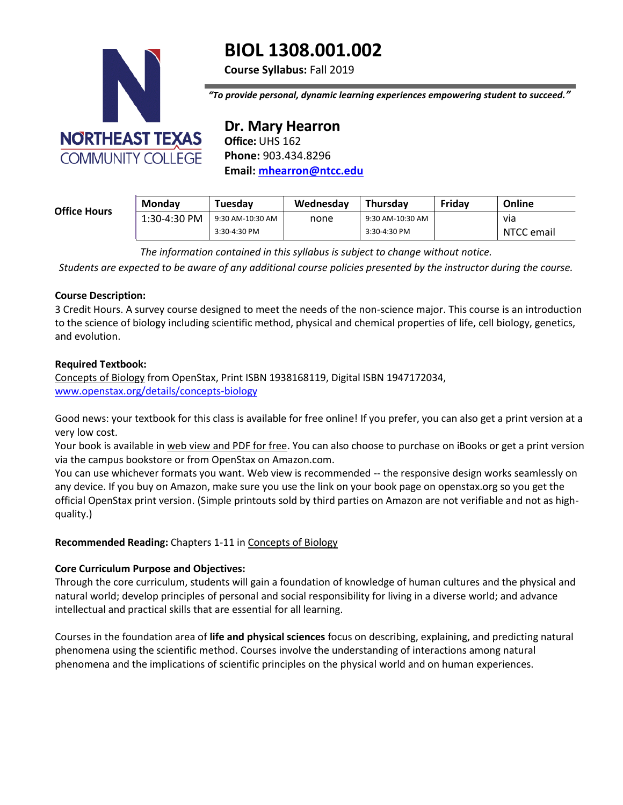

# **BIOL 1308.001.002**

**Course Syllabus:** Fall 2019

*"To provide personal, dynamic learning experiences empowering student to succeed."*

**Dr. Mary Hearron Office:** UHS 162 **Phone:** 903.434.8296 **Email: [mhearron@ntcc.edu](mailto:mhearron@ntcc.edu)**

#### **Office Hours**

| <b>Mondav</b> | Tuesdav          | Wednesday | <b>Thursdav</b>  | Fridav | Online     |
|---------------|------------------|-----------|------------------|--------|------------|
| 1:30-4:30 PM  | 9:30 AM-10:30 AM | none      | 9:30 AM-10:30 AM |        | via        |
|               | 3:30-4:30 PM     |           | $3:30-4:30$ PM   |        | NTCC email |

*The information contained in this syllabus is subject to change without notice.*

*Students are expected to be aware of any additional course policies presented by the instructor during the course.*

#### **Course Description:**

3 Credit Hours. A survey course designed to meet the needs of the non-science major. This course is an introduction to the science of biology including scientific method, physical and chemical properties of life, cell biology, genetics, and evolution.

## **Required Textbook:**

Concepts of Biology from OpenStax, Print ISBN 1938168119, Digital ISBN 1947172034, [www.openstax.org/details/concepts-biology](http://www.openstax.org/details/concepts-biology)

Good news: your textbook for this class is available for free online! If you prefer, you can also get a print version at a very low cost.

Your book is available in web view and PDF for free. You can also choose to purchase on iBooks or get a print version via the campus bookstore or from OpenStax on Amazon.com.

You can use whichever formats you want. Web view is recommended -- the responsive design works seamlessly on any device. If you buy on Amazon, make sure you use the link on your book page on openstax.org so you get the official OpenStax print version. (Simple printouts sold by third parties on Amazon are not verifiable and not as highquality.)

# **Recommended Reading:** Chapters 1-11 in Concepts of Biology

# **Core Curriculum Purpose and Objectives:**

Through the core curriculum, students will gain a foundation of knowledge of human cultures and the physical and natural world; develop principles of personal and social responsibility for living in a diverse world; and advance intellectual and practical skills that are essential for all learning.

Courses in the foundation area of **life and physical sciences** focus on describing, explaining, and predicting natural phenomena using the scientific method. Courses involve the understanding of interactions among natural phenomena and the implications of scientific principles on the physical world and on human experiences.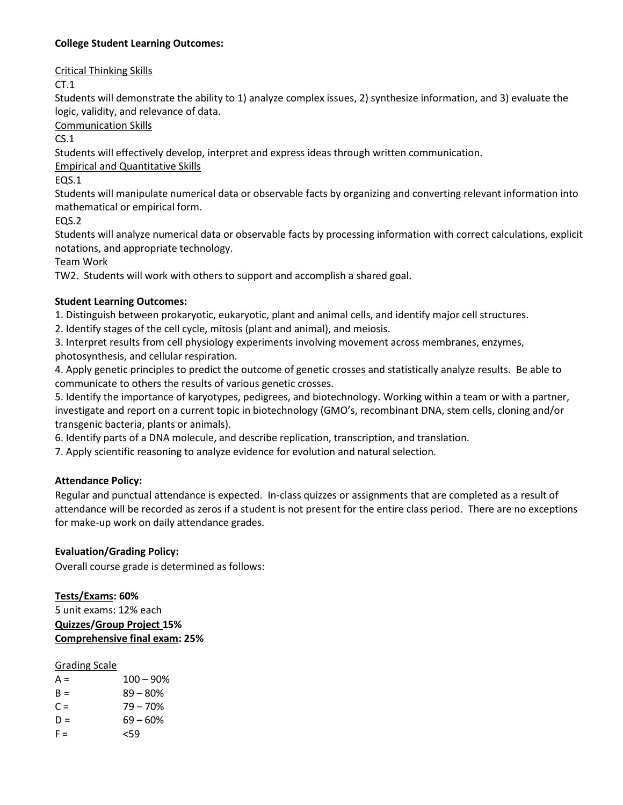# **College Student Learning Outcomes:**

Critical Thinking Skills

CT.1

Students will demonstrate the ability to 1) analyze complex issues, 2) synthesize information, and 3) evaluate the logic, validity, and relevance of data.

Communication Skills

CS.1

Students will effectively develop, interpret and express ideas through written communication.

Empirical and Quantitative Skills

EQS.1

Students will manipulate numerical data or observable facts by organizing and converting relevant information into mathematical or empirical form.

EQS.2

Students will analyze numerical data or observable facts by processing information with correct calculations, explicit notations, and appropriate technology.

Team Work

TW2. Students will work with others to support and accomplish a shared goal.

## **Student Learning Outcomes:**

1. Distinguish between prokaryotic, eukaryotic, plant and animal cells, and identify major cell structures.

2. Identify stages of the cell cycle, mitosis (plant and animal), and meiosis.

3. Interpret results from cell physiology experiments involving movement across membranes, enzymes, photosynthesis, and cellular respiration.

4. Apply genetic principles to predict the outcome of genetic crosses and statistically analyze results. Be able to communicate to others the results of various genetic crosses.

5. Identify the importance of karyotypes, pedigrees, and biotechnology. Working within a team or with a partner, investigate and report on a current topic in biotechnology (GMO's, recombinant DNA, stem cells, cloning and/or transgenic bacteria, plants or animals).

6. Identify parts of a DNA molecule, and describe replication, transcription, and translation.

7. Apply scientific reasoning to analyze evidence for evolution and natural selection.

#### **Attendance Policy:**

Regular and punctual attendance is expected. In-class quizzes or assignments that are completed as a result of attendance will be recorded as zeros if a student is not present for the entire class period. There are no exceptions for make-up work on daily attendance grades.

# **Evaluation/Grading Policy:**

Overall course grade is determined as follows:

**Tests/Exams: 60%**

5 unit exams: 12% each **Quizzes/Group Project 15% Comprehensive final exam: 25%**

#### Grading Scale

| $A =$ | $100 - 90%$ |
|-------|-------------|
| $R =$ | 89 – 80%    |
| $C =$ | $79 - 70%$  |
| $D =$ | 69 – 60%    |
| $F =$ | 559         |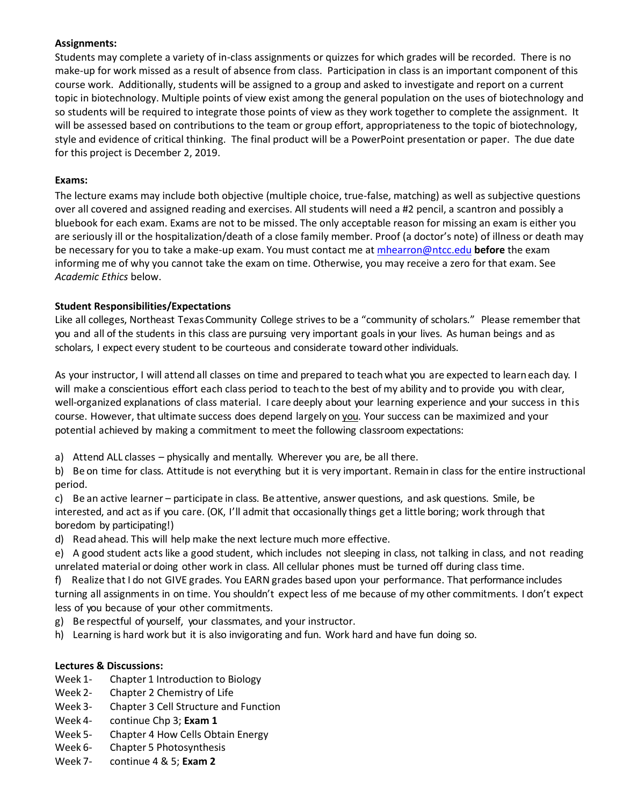# **Assignments:**

Students may complete a variety of in-class assignments or quizzes for which grades will be recorded. There is no make-up for work missed as a result of absence from class. Participation in class is an important component of this course work. Additionally, students will be assigned to a group and asked to investigate and report on a current topic in biotechnology. Multiple points of view exist among the general population on the uses of biotechnology and so students will be required to integrate those points of view as they work together to complete the assignment. It will be assessed based on contributions to the team or group effort, appropriateness to the topic of biotechnology, style and evidence of critical thinking. The final product will be a PowerPoint presentation or paper. The due date for this project is December 2, 2019.

## **Exams:**

The lecture exams may include both objective (multiple choice, true-false, matching) as well as subjective questions over all covered and assigned reading and exercises. All students will need a #2 pencil, a scantron and possibly a bluebook for each exam. Exams are not to be missed. The only acceptable reason for missing an exam is either you are seriously ill or the hospitalization/death of a close family member. Proof (a doctor's note) of illness or death may be necessary for you to take a make-up exam. You must contact me a[t mhearron@ntcc.edu](mailto:mhearron@ntcc.edu) **before** the exam informing me of why you cannot take the exam on time. Otherwise, you may receive a zero for that exam. See *Academic Ethics* below.

## **Student Responsibilities/Expectations**

Like all colleges, Northeast TexasCommunity College strives to be a "community of scholars." Please remember that you and all of the students in this class are pursuing very important goals in your lives. As human beings and as scholars, I expect every student to be courteous and considerate toward other individuals.

As your instructor, I will attend all classes on time and prepared to teachwhat you are expected to learn each day. I will make a conscientious effort each class period to teach to the best of my ability and to provide you with clear, well-organized explanations of class material. I care deeply about your learning experience and your success in this course. However, that ultimate success does depend largely on you. Your success can be maximized and your potential achieved by making a commitment to meet the following classroom expectations:

- a) Attend ALL classes physically and mentally. Wherever you are, be all there.
- b) Be on time for class. Attitude is not everything but it is very important. Remain in class for the entire instructional period.

c) Be an active learner – participate in class. Be attentive, answer questions, and ask questions. Smile, be interested, and act as if you care. (OK, I'll admit that occasionally things get a little boring; work through that boredom by participating!)

- d) Read ahead. This will help make the next lecture much more effective.
- e) A good student acts like a good student, which includes not sleeping in class, not talking in class, and not reading unrelated material or doing other work in class. All cellular phones must be turned off during class time.

f) Realize that I do not GIVE grades. You EARN grades based upon your performance. That performance includes turning all assignments in on time. You shouldn't expect less of me because of my other commitments. I don't expect less of you because of your other commitments.

- g) Be respectful of yourself, your classmates, and your instructor.
- h) Learning is hard work but it is also invigorating and fun. Work hard and have fun doing so.

#### **Lectures & Discussions:**

- Week 1- Chapter 1 Introduction to Biology
- Week 2- Chapter 2 Chemistry of Life
- Week 3- Chapter 3 Cell Structure and Function
- Week 4- continue Chp 3; **Exam 1**
- Week 5- Chapter 4 How Cells Obtain Energy
- Week 6- Chapter 5 Photosynthesis
- Week 7- continue 4 & 5; **Exam 2**